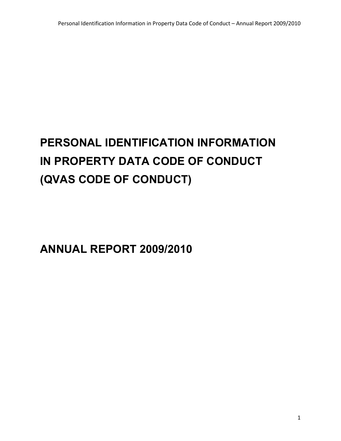# **PERSONAL IDENTIFICATION INFORMATION IN PROPERTY DATA CODE OF CONDUCT (QVAS CODE OF CONDUCT)**

**ANNUAL REPORT 2009/2010**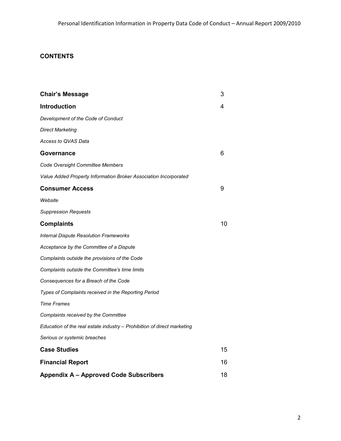# **CONTENTS**

| <b>Chair's Message</b>                                                  | 3  |
|-------------------------------------------------------------------------|----|
| <b>Introduction</b>                                                     | 4  |
| Development of the Code of Conduct                                      |    |
| <b>Direct Marketing</b>                                                 |    |
| Access to QVAS Data                                                     |    |
| Governance                                                              | 6  |
| Code Oversight Committee Members                                        |    |
| Value Added Property Information Broker Association Incorporated        |    |
| <b>Consumer Access</b>                                                  | 9  |
| Website                                                                 |    |
| <b>Suppression Requests</b>                                             |    |
| <b>Complaints</b>                                                       | 10 |
| <b>Internal Dispute Resolution Frameworks</b>                           |    |
| Acceptance by the Committee of a Dispute                                |    |
| Complaints outside the provisions of the Code                           |    |
| Complaints outside the Committee's time limits                          |    |
| Consequences for a Breach of the Code                                   |    |
| Types of Complaints received in the Reporting Period                    |    |
| <b>Time Frames</b>                                                      |    |
| Complaints received by the Committee                                    |    |
| Education of the real estate industry - Prohibition of direct marketing |    |
| Serious or systemic breaches                                            |    |
| <b>Case Studies</b>                                                     | 15 |
| <b>Financial Report</b>                                                 | 16 |
| <b>Appendix A - Approved Code Subscribers</b>                           | 18 |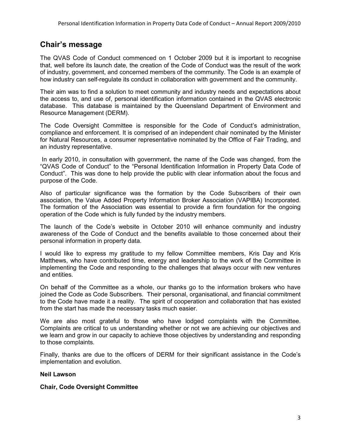# **Chair's message**

The QVAS Code of Conduct commenced on 1 October 2009 but it is important to recognise that, well before its launch date, the creation of the Code of Conduct was the result of the work of industry, government, and concerned members of the community. The Code is an example of how industry can self-regulate its conduct in collaboration with government and the community.

Their aim was to find a solution to meet community and industry needs and expectations about the access to, and use of, personal identification information contained in the QVAS electronic database. This database is maintained by the Queensland Department of Environment and Resource Management (DERM).

The Code Oversight Committee is responsible for the Code of Conduct's administration, compliance and enforcement. It is comprised of an independent chair nominated by the Minister for Natural Resources, a consumer representative nominated by the Office of Fair Trading, and an industry representative.

 In early 2010, in consultation with government, the name of the Code was changed, from the "QVAS Code of Conduct" to the "Personal Identification Information in Property Data Code of Conduct". This was done to help provide the public with clear information about the focus and purpose of the Code.

Also of particular significance was the formation by the Code Subscribers of their own association, the Value Added Property Information Broker Association (VAPIBA) Incorporated. The formation of the Association was essential to provide a firm foundation for the ongoing operation of the Code which is fully funded by the industry members.

The launch of the Code's website in October 2010 will enhance community and industry awareness of the Code of Conduct and the benefits available to those concerned about their personal information in property data.

I would like to express my gratitude to my fellow Committee members, Kris Day and Kris Matthews, who have contributed time, energy and leadership to the work of the Committee in implementing the Code and responding to the challenges that always occur with new ventures and entities.

On behalf of the Committee as a whole, our thanks go to the information brokers who have joined the Code as Code Subscribers. Their personal, organisational, and financial commitment to the Code have made it a reality. The spirit of cooperation and collaboration that has existed from the start has made the necessary tasks much easier.

We are also most grateful to those who have lodged complaints with the Committee. Complaints are critical to us understanding whether or not we are achieving our objectives and we learn and grow in our capacity to achieve those objectives by understanding and responding to those complaints.

Finally, thanks are due to the officers of DERM for their significant assistance in the Code's implementation and evolution.

## **Neil Lawson**

## **Chair, Code Oversight Committee**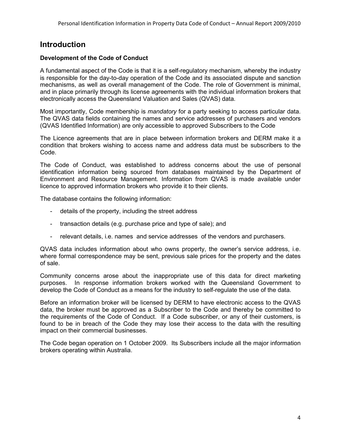# **Introduction**

## **Development of the Code of Conduct**

A fundamental aspect of the Code is that it is a self-regulatory mechanism, whereby the industry is responsible for the day-to-day operation of the Code and its associated dispute and sanction mechanisms, as well as overall management of the Code. The role of Government is minimal, and in place primarily through its license agreements with the individual information brokers that electronically access the Queensland Valuation and Sales (QVAS) data.

Most importantly, Code membership is *mandatory* for a party seeking to access particular data. The QVAS data fields containing the names and service addresses of purchasers and vendors (QVAS Identified Information) are only accessible to approved Subscribers to the Code

The Licence agreements that are in place between information brokers and DERM make it a condition that brokers wishing to access name and address data must be subscribers to the Code.

The Code of Conduct, was established to address concerns about the use of personal identification information being sourced from databases maintained by the Department of Environment and Resource Management. Information from QVAS is made available under licence to approved information brokers who provide it to their clients.

The database contains the following information:

- details of the property, including the street address
- transaction details (e.g. purchase price and type of sale); and
- relevant details, i.e. names and service addresses of the vendors and purchasers.

QVAS data includes information about who owns property, the owner's service address, i.e. where formal correspondence may be sent, previous sale prices for the property and the dates of sale.

Community concerns arose about the inappropriate use of this data for direct marketing purposes. In response information brokers worked with the Queensland Government to develop the Code of Conduct as a means for the industry to self-regulate the use of the data.

Before an information broker will be licensed by DERM to have electronic access to the QVAS data, the broker must be approved as a Subscriber to the Code and thereby be committed to the requirements of the Code of Conduct. If a Code subscriber, or any of their customers, is found to be in breach of the Code they may lose their access to the data with the resulting impact on their commercial businesses.

The Code began operation on 1 October 2009. Its Subscribers include all the major information brokers operating within Australia.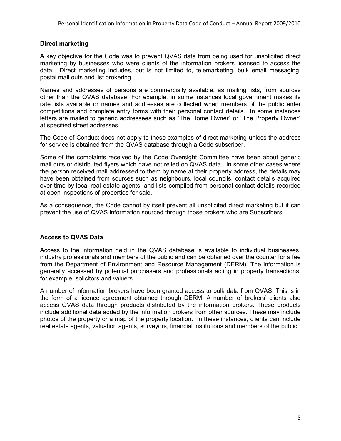#### **Direct marketing**

A key objective for the Code was to prevent QVAS data from being used for unsolicited direct marketing by businesses who were clients of the information brokers licensed to access the data. Direct marketing includes, but is not limited to, telemarketing, bulk email messaging, postal mail outs and list brokering.

Names and addresses of persons are commercially available, as mailing lists, from sources other than the QVAS database. For example, in some instances local government makes its rate lists available or names and addresses are collected when members of the public enter competitions and complete entry forms with their personal contact details. In some instances letters are mailed to generic addressees such as "The Home Owner" or "The Property Owner" at specified street addresses.

The Code of Conduct does not apply to these examples of direct marketing unless the address for service is obtained from the QVAS database through a Code subscriber.

Some of the complaints received by the Code Oversight Committee have been about generic mail outs or distributed flyers which have not relied on QVAS data. In some other cases where the person received mail addressed to them by name at their property address, the details may have been obtained from sources such as neighbours, local councils, contact details acquired over time by local real estate agents, and lists compiled from personal contact details recorded at open inspections of properties for sale.

As a consequence, the Code cannot by itself prevent all unsolicited direct marketing but it can prevent the use of QVAS information sourced through those brokers who are Subscribers.

## **Access to QVAS Data**

Access to the information held in the QVAS database is available to individual businesses, industry professionals and members of the public and can be obtained over the counter for a fee from the Department of Environment and Resource Management (DERM). The information is generally accessed by potential purchasers and professionals acting in property transactions, for example, solicitors and valuers.

A number of information brokers have been granted access to bulk data from QVAS. This is in the form of a licence agreement obtained through DERM. A number of brokers' clients also access QVAS data through products distributed by the information brokers. These products include additional data added by the information brokers from other sources. These may include photos of the property or a map of the property location. In these instances, clients can include real estate agents, valuation agents, surveyors, financial institutions and members of the public.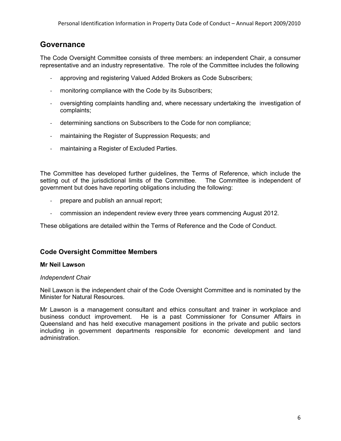# **Governance**

The Code Oversight Committee consists of three members: an independent Chair, a consumer representative and an industry representative. The role of the Committee includes the following

- approving and registering Valued Added Brokers as Code Subscribers;
- monitoring compliance with the Code by its Subscribers;
- oversighting complaints handling and, where necessary undertaking the investigation of complaints;
- determining sanctions on Subscribers to the Code for non compliance;
- maintaining the Register of Suppression Requests; and
- maintaining a Register of Excluded Parties.

The Committee has developed further guidelines, the Terms of Reference, which include the setting out of the jurisdictional limits of the Committee. The Committee is independent of government but does have reporting obligations including the following:

- prepare and publish an annual report;
- commission an independent review every three years commencing August 2012.

These obligations are detailed within the Terms of Reference and the Code of Conduct.

## **Code Oversight Committee Members**

#### **Mr Neil Lawson**

#### *Independent Chair*

Neil Lawson is the independent chair of the Code Oversight Committee and is nominated by the Minister for Natural Resources.

Mr Lawson is a management consultant and ethics consultant and trainer in workplace and business conduct improvement. He is a past Commissioner for Consumer Affairs in Queensland and has held executive management positions in the private and public sectors including in government departments responsible for economic development and land administration.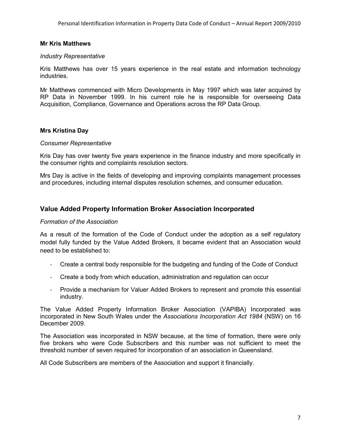#### **Mr Kris Matthews**

#### *Industry Representative*

Kris Matthews has over 15 years experience in the real estate and information technology industries.

Mr Matthews commenced with Micro Developments in May 1997 which was later acquired by RP Data in November 1999. In his current role he is responsible for overseeing Data Acquisition, Compliance, Governance and Operations across the RP Data Group.

#### **Mrs Kristina Day**

#### *Consumer Representative*

Kris Day has over twenty five years experience in the finance industry and more specifically in the consumer rights and complaints resolution sectors.

Mrs Day is active in the fields of developing and improving complaints management processes and procedures, including internal disputes resolution schemes, and consumer education.

## **Value Added Property Information Broker Association Incorporated**

#### *Formation of the Association*

As a result of the formation of the Code of Conduct under the adoption as a self regulatory model fully funded by the Value Added Brokers, it became evident that an Association would need to be established to:

- Create a central body responsible for the budgeting and funding of the Code of Conduct
- Create a body from which education, administration and regulation can occur
- Provide a mechanism for Valuer Added Brokers to represent and promote this essential industry.

The Value Added Property Information Broker Association (VAPIBA) Incorporated was incorporated in New South Wales under the *Associations Incorporation Act 1984* (NSW) on 16 December 2009.

The Association was incorporated in NSW because, at the time of formation, there were only five brokers who were Code Subscribers and this number was not sufficient to meet the threshold number of seven required for incorporation of an association in Queensland.

All Code Subscribers are members of the Association and support it financially.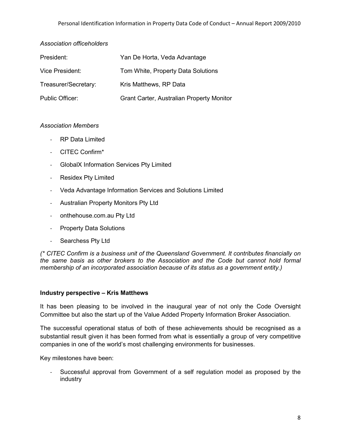## *Association officeholders*

| President:           | Yan De Horta, Veda Advantage              |
|----------------------|-------------------------------------------|
| Vice President:      | Tom White, Property Data Solutions        |
| Treasurer/Secretary: | Kris Matthews, RP Data                    |
| Public Officer:      | Grant Carter, Australian Property Monitor |

## *Association Members*

- RP Data Limited
- CITEC Confirm\*
- GlobalX Information Services Pty Limited
- Residex Pty Limited
- Veda Advantage Information Services and Solutions Limited
- Australian Property Monitors Pty Ltd
- onthehouse.com.au Pty Ltd
- Property Data Solutions
- Searchess Pty Ltd

*(\* CITEC Confirm is a business unit of the Queensland Government. It contributes financially on the same basis as other brokers to the Association and the Code but cannot hold formal membership of an incorporated association because of its status as a government entity.)* 

## **Industry perspective – Kris Matthews**

It has been pleasing to be involved in the inaugural year of not only the Code Oversight Committee but also the start up of the Value Added Property Information Broker Association.

The successful operational status of both of these achievements should be recognised as a substantial result given it has been formed from what is essentially a group of very competitive companies in one of the world's most challenging environments for businesses.

Key milestones have been:

- Successful approval from Government of a self regulation model as proposed by the industry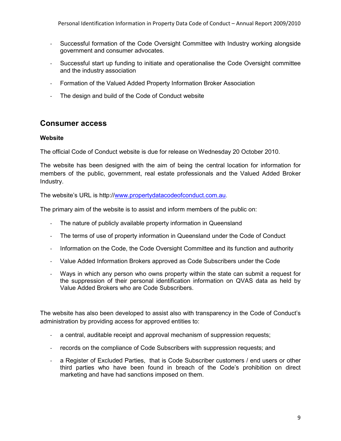- Successful formation of the Code Oversight Committee with Industry working alongside government and consumer advocates.
- Successful start up funding to initiate and operationalise the Code Oversight committee and the industry association
- Formation of the Valued Added Property Information Broker Association
- The design and build of the Code of Conduct website

# **Consumer access**

## **Website**

The official Code of Conduct website is due for release on Wednesday 20 October 2010.

The website has been designed with the aim of being the central location for information for members of the public, government, real estate professionals and the Valued Added Broker Industry.

The website's URL is http://www.propertydatacodeofconduct.com.au.

The primary aim of the website is to assist and inform members of the public on:

- The nature of publicly available property information in Queensland
- The terms of use of property information in Queensland under the Code of Conduct
- Information on the Code, the Code Oversight Committee and its function and authority
- Value Added Information Brokers approved as Code Subscribers under the Code
- Ways in which any person who owns property within the state can submit a request for the suppression of their personal identification information on QVAS data as held by Value Added Brokers who are Code Subscribers.

The website has also been developed to assist also with transparency in the Code of Conduct's administration by providing access for approved entities to:

- a central, auditable receipt and approval mechanism of suppression requests;
- records on the compliance of Code Subscribers with suppression requests; and
- a Register of Excluded Parties, that is Code Subscriber customers / end users or other third parties who have been found in breach of the Code's prohibition on direct marketing and have had sanctions imposed on them.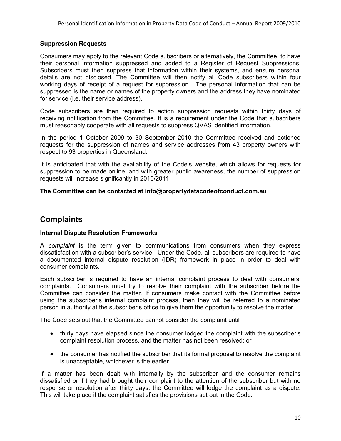## **Suppression Requests**

Consumers may apply to the relevant Code subscribers or alternatively, the Committee, to have their personal information suppressed and added to a Register of Request Suppressions. Subscribers must then suppress that information within their systems, and ensure personal details are not disclosed. The Committee will then notify all Code subscribers within four working days of receipt of a request for suppression. The personal information that can be suppressed is the name or names of the property owners and the address they have nominated for service (i.e. their service address).

Code subscribers are then required to action suppression requests within thirty days of receiving notification from the Committee. It is a requirement under the Code that subscribers must reasonably cooperate with all requests to suppress QVAS identified information.

In the period 1 October 2009 to 30 September 2010 the Committee received and actioned requests for the suppression of names and service addresses from 43 property owners with respect to 93 properties in Queensland.

It is anticipated that with the availability of the Code's website, which allows for requests for suppression to be made online, and with greater public awareness, the number of suppression requests will increase significantly in 2010/2011.

## **The Committee can be contacted at info@propertydatacodeofconduct.com.au**

# **Complaints**

## **Internal Dispute Resolution Frameworks**

A *complaint* is the term given to communications from consumers when they express dissatisfaction with a subscriber's service. Under the Code, all subscribers are required to have a documented internal dispute resolution (IDR) framework in place in order to deal with consumer complaints.

Each subscriber is required to have an internal complaint process to deal with consumers' complaints. Consumers must try to resolve their complaint with the subscriber before the Committee can consider the matter. If consumers make contact with the Committee before using the subscriber's internal complaint process, then they will be referred to a nominated person in authority at the subscriber's office to give them the opportunity to resolve the matter.

The Code sets out that the Committee cannot consider the complaint until

- thirty days have elapsed since the consumer lodged the complaint with the subscriber's complaint resolution process, and the matter has not been resolved; or
- the consumer has notified the subscriber that its formal proposal to resolve the complaint is unacceptable, whichever is the earlier.

If a matter has been dealt with internally by the subscriber and the consumer remains dissatisfied or if they had brought their complaint to the attention of the subscriber but with no response or resolution after thirty days, the Committee will lodge the complaint as a dispute. This will take place if the complaint satisfies the provisions set out in the Code.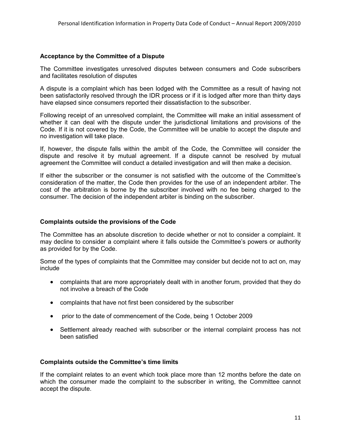#### **Acceptance by the Committee of a Dispute**

The Committee investigates unresolved disputes between consumers and Code subscribers and facilitates resolution of disputes

A dispute is a complaint which has been lodged with the Committee as a result of having not been satisfactorily resolved through the IDR process or if it is lodged after more than thirty days have elapsed since consumers reported their dissatisfaction to the subscriber.

Following receipt of an unresolved complaint, the Committee will make an initial assessment of whether it can deal with the dispute under the jurisdictional limitations and provisions of the Code. If it is not covered by the Code, the Committee will be unable to accept the dispute and no investigation will take place.

If, however, the dispute falls within the ambit of the Code, the Committee will consider the dispute and resolve it by mutual agreement. If a dispute cannot be resolved by mutual agreement the Committee will conduct a detailed investigation and will then make a decision.

If either the subscriber or the consumer is not satisfied with the outcome of the Committee's consideration of the matter, the Code then provides for the use of an independent arbiter. The cost of the arbitration is borne by the subscriber involved with no fee being charged to the consumer. The decision of the independent arbiter is binding on the subscriber.

#### **Complaints outside the provisions of the Code**

The Committee has an absolute discretion to decide whether or not to consider a complaint. It may decline to consider a complaint where it falls outside the Committee's powers or authority as provided for by the Code.

Some of the types of complaints that the Committee may consider but decide not to act on, may include

- complaints that are more appropriately dealt with in another forum, provided that they do not involve a breach of the Code
- complaints that have not first been considered by the subscriber
- prior to the date of commencement of the Code, being 1 October 2009
- Settlement already reached with subscriber or the internal complaint process has not been satisfied

#### **Complaints outside the Committee's time limits**

If the complaint relates to an event which took place more than 12 months before the date on which the consumer made the complaint to the subscriber in writing, the Committee cannot accept the dispute.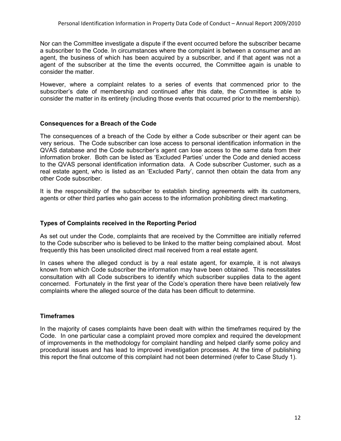Nor can the Committee investigate a dispute if the event occurred before the subscriber became a subscriber to the Code. In circumstances where the complaint is between a consumer and an agent, the business of which has been acquired by a subscriber, and if that agent was not a agent of the subscriber at the time the events occurred, the Committee again is unable to consider the matter.

However, where a complaint relates to a series of events that commenced prior to the subscriber's date of membership and continued after this date, the Committee is able to consider the matter in its entirety (including those events that occurred prior to the membership).

## **Consequences for a Breach of the Code**

The consequences of a breach of the Code by either a Code subscriber or their agent can be very serious. The Code subscriber can lose access to personal identification information in the QVAS database and the Code subscriber's agent can lose access to the same data from their information broker. Both can be listed as 'Excluded Parties' under the Code and denied access to the QVAS personal identification information data. A Code subscriber Customer, such as a real estate agent, who is listed as an 'Excluded Party', cannot then obtain the data from any other Code subscriber.

It is the responsibility of the subscriber to establish binding agreements with its customers, agents or other third parties who gain access to the information prohibiting direct marketing.

## **Types of Complaints received in the Reporting Period**

As set out under the Code, complaints that are received by the Committee are initially referred to the Code subscriber who is believed to be linked to the matter being complained about. Most frequently this has been unsolicited direct mail received from a real estate agent.

In cases where the alleged conduct is by a real estate agent, for example, it is not always known from which Code subscriber the information may have been obtained. This necessitates consultation with all Code subscribers to identify which subscriber supplies data to the agent concerned. Fortunately in the first year of the Code's operation there have been relatively few complaints where the alleged source of the data has been difficult to determine.

## **Timeframes**

In the majority of cases complaints have been dealt with within the timeframes required by the Code. In one particular case a complaint proved more complex and required the development of improvements in the methodology for complaint handling and helped clarify some policy and procedural issues and has lead to improved investigation processes. At the time of publishing this report the final outcome of this complaint had not been determined (refer to Case Study 1).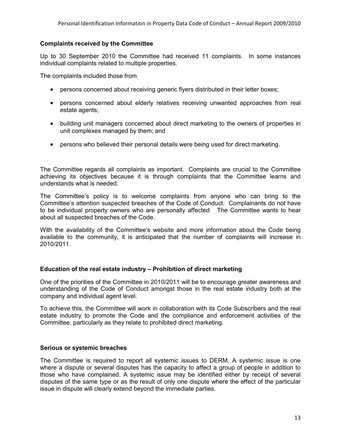#### **Complaints received by the Committee**

Up to 30 September 2010 the Committee had received 11 complaints. In some instances individual complaints related to multiple properties.

The complaints included those from

- persons concerned about receiving generic flyers distributed in their letter boxes;
- persons concerned about elderly relatives receiving unwanted approaches from real estate agents;
- building unit managers concerned about direct marketing to the owners of properties in unit complexes managed by them; and
- persons who believed their personal details were being used for direct marketing.

The Committee regards all complaints as important. Complaints are crucial to the Committee achieving its objectives because it is through complaints that the Committee learns and understands what is needed.

The Committee's policy is to welcome complaints from anyone who can bring to the Committee's attention suspected breaches of the Code of Conduct. Complainants do not have to be individual property owners who are personally affected The Committee wants to hear about all suspected breaches of the Code.

With the availability of the Committee's website and more information about the Code being available to the community, it is anticipated that the number of complaints will increase in 2010/2011.

## **Education of the real estate industry – Prohibition of direct marketing**

One of the priorities of the Committee in 2010/2011 will be to encourage greater awareness and understanding of the Code of Conduct amongst those in the real estate industry both at the company and individual agent level.

To achieve this, the Committee will work in collaboration with its Code Subscribers and the real estate industry to promote the Code and the compliance and enforcement activities of the Committee, particularly as they relate to prohibited direct marketing.

## **Serious or systemic breaches**

The Committee is required to report all systemic issues to DERM. A systemic issue is one where a dispute or several disputes has the capacity to affect a group of people in addition to those who have complained. A systemic issue may be identified either by receipt of several disputes of the same type or as the result of only one dispute where the effect of the particular issue in dispute will clearly extend beyond the immediate parties.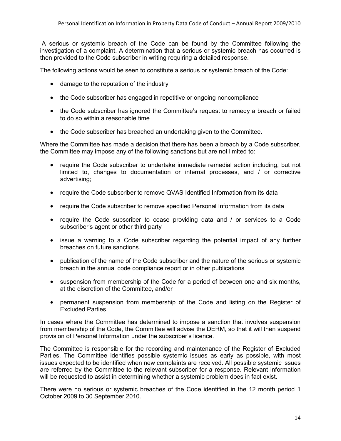A serious or systemic breach of the Code can be found by the Committee following the investigation of a complaint. A determination that a serious or systemic breach has occurred is then provided to the Code subscriber in writing requiring a detailed response.

The following actions would be seen to constitute a serious or systemic breach of the Code:

- damage to the reputation of the industry
- the Code subscriber has engaged in repetitive or ongoing noncompliance
- the Code subscriber has ignored the Committee's request to remedy a breach or failed to do so within a reasonable time
- the Code subscriber has breached an undertaking given to the Committee.

Where the Committee has made a decision that there has been a breach by a Code subscriber, the Committee may impose any of the following sanctions but are not limited to:

- require the Code subscriber to undertake immediate remedial action including, but not limited to, changes to documentation or internal processes, and / or corrective advertising;
- require the Code subscriber to remove QVAS Identified Information from its data
- require the Code subscriber to remove specified Personal Information from its data
- require the Code subscriber to cease providing data and / or services to a Code subscriber's agent or other third party
- issue a warning to a Code subscriber regarding the potential impact of any further breaches on future sanctions.
- publication of the name of the Code subscriber and the nature of the serious or systemic breach in the annual code compliance report or in other publications
- suspension from membership of the Code for a period of between one and six months, at the discretion of the Committee, and/or
- permanent suspension from membership of the Code and listing on the Register of Excluded Parties.

In cases where the Committee has determined to impose a sanction that involves suspension from membership of the Code, the Committee will advise the DERM, so that it will then suspend provision of Personal Information under the subscriber's licence.

The Committee is responsible for the recording and maintenance of the Register of Excluded Parties. The Committee identifies possible systemic issues as early as possible, with most issues expected to be identified when new complaints are received. All possible systemic issues are referred by the Committee to the relevant subscriber for a response. Relevant information will be requested to assist in determining whether a systemic problem does in fact exist.

There were no serious or systemic breaches of the Code identified in the 12 month period 1 October 2009 to 30 September 2010.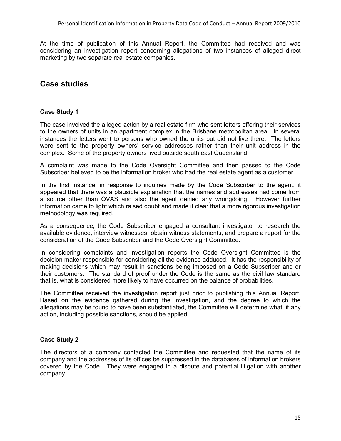At the time of publication of this Annual Report, the Committee had received and was considering an investigation report concerning allegations of two instances of alleged direct marketing by two separate real estate companies.

# **Case studies**

## **Case Study 1**

The case involved the alleged action by a real estate firm who sent letters offering their services to the owners of units in an apartment complex in the Brisbane metropolitan area. In several instances the letters went to persons who owned the units but did not live there. The letters were sent to the property owners' service addresses rather than their unit address in the complex. Some of the property owners lived outside south east Queensland.

A complaint was made to the Code Oversight Committee and then passed to the Code Subscriber believed to be the information broker who had the real estate agent as a customer.

In the first instance, in response to inquiries made by the Code Subscriber to the agent, it appeared that there was a plausible explanation that the names and addresses had come from a source other than QVAS and also the agent denied any wrongdoing. However further information came to light which raised doubt and made it clear that a more rigorous investigation methodology was required.

As a consequence, the Code Subscriber engaged a consultant investigator to research the available evidence, interview witnesses, obtain witness statements, and prepare a report for the consideration of the Code Subscriber and the Code Oversight Committee.

In considering complaints and investigation reports the Code Oversight Committee is the decision maker responsible for considering all the evidence adduced. It has the responsibility of making decisions which may result in sanctions being imposed on a Code Subscriber and or their customers. The standard of proof under the Code is the same as the civil law standard that is, what is considered more likely to have occurred on the balance of probabilities.

The Committee received the investigation report just prior to publishing this Annual Report. Based on the evidence gathered during the investigation, and the degree to which the allegations may be found to have been substantiated, the Committee will determine what, if any action, including possible sanctions, should be applied.

## **Case Study 2**

The directors of a company contacted the Committee and requested that the name of its company and the addresses of its offices be suppressed in the databases of information brokers covered by the Code. They were engaged in a dispute and potential litigation with another company.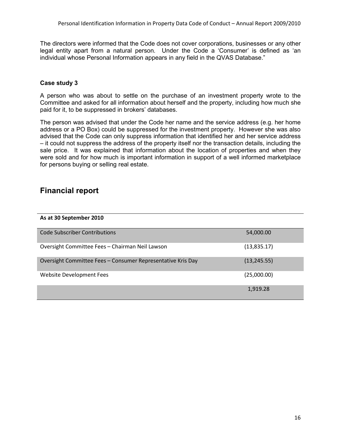The directors were informed that the Code does not cover corporations, businesses or any other legal entity apart from a natural person. Under the Code a 'Consumer' is defined as 'an individual whose Personal Information appears in any field in the QVAS Database."

## **Case study 3**

A person who was about to settle on the purchase of an investment property wrote to the Committee and asked for all information about herself and the property, including how much she paid for it, to be suppressed in brokers' databases.

The person was advised that under the Code her name and the service address (e.g. her home address or a PO Box) could be suppressed for the investment property. However she was also advised that the Code can only suppress information that identified her and her service address – it could not suppress the address of the property itself nor the transaction details, including the sale price. It was explained that information about the location of properties and when they were sold and for how much is important information in support of a well informed marketplace for persons buying or selling real estate.

# **Financial report**

#### **As at 30 September 2010**

| Code Subscriber Contributions                               | 54,000.00    |
|-------------------------------------------------------------|--------------|
| Oversight Committee Fees - Chairman Neil Lawson             | (13,835.17)  |
| Oversight Committee Fees - Consumer Representative Kris Day | (13, 245.55) |
| Website Development Fees                                    | (25,000.00)  |
|                                                             | 1,919.28     |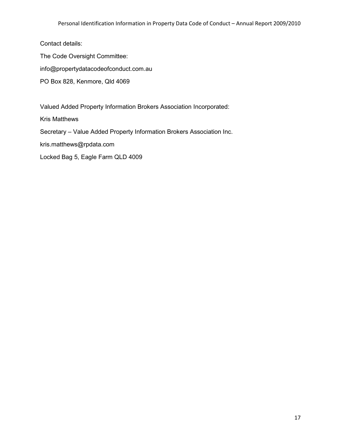Contact details:

The Code Oversight Committee:

info@propertydatacodeofconduct.com.au

PO Box 828, Kenmore, Qld 4069

Valued Added Property Information Brokers Association Incorporated:

Kris Matthews

Secretary – Value Added Property Information Brokers Association Inc.

kris.matthews@rpdata.com

Locked Bag 5, Eagle Farm QLD 4009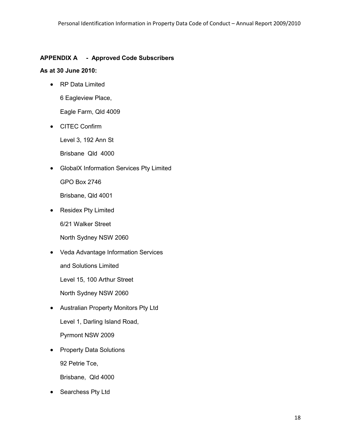## **APPENDIX A - Approved Code Subscribers**

#### **As at 30 June 2010:**

• RP Data Limited

6 Eagleview Place,

Eagle Farm, Qld 4009

• CITEC Confirm

Level 3, 192 Ann St

Brisbane Qld 4000

• GlobalX Information Services Pty Limited

GPO Box 2746

Brisbane, Qld 4001

• Residex Pty Limited

6/21 Walker Street

North Sydney NSW 2060

• Veda Advantage Information Services

and Solutions Limited

Level 15, 100 Arthur Street

North Sydney NSW 2060

- Australian Property Monitors Pty Ltd Level 1, Darling Island Road, Pyrmont NSW 2009
- Property Data Solutions 92 Petrie Tce,

Brisbane, Qld 4000

• Searchess Pty Ltd